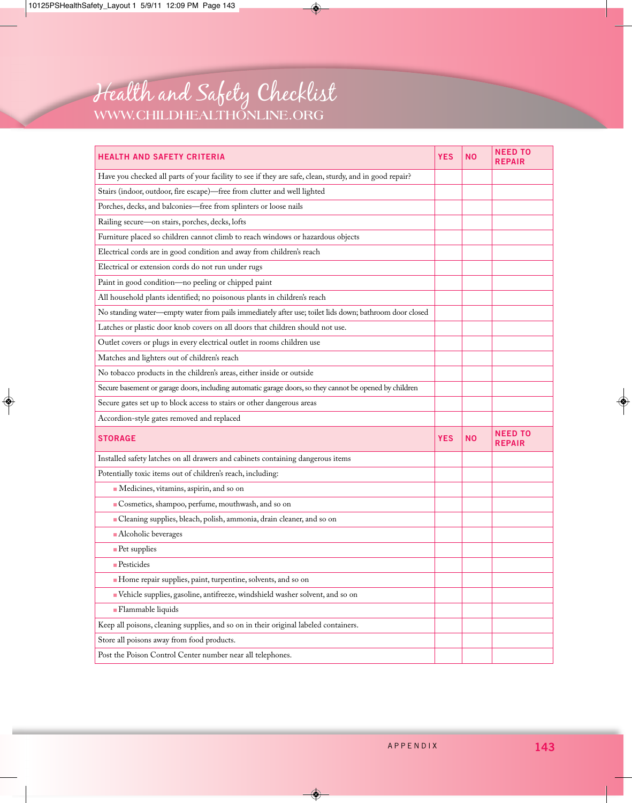

| <b>HEALTH AND SAFETY CRITERIA</b>                                                                       | <b>YES</b> | NΟ        | <b>NEED TO</b><br><b>REPAIR</b> |
|---------------------------------------------------------------------------------------------------------|------------|-----------|---------------------------------|
| Have you checked all parts of your facility to see if they are safe, clean, sturdy, and in good repair? |            |           |                                 |
| Stairs (indoor, outdoor, fire escape)-free from clutter and well lighted                                |            |           |                                 |
| Porches, decks, and balconies-free from splinters or loose nails                                        |            |           |                                 |
| Railing secure-on stairs, porches, decks, lofts                                                         |            |           |                                 |
| Furniture placed so children cannot climb to reach windows or hazardous objects                         |            |           |                                 |
| Electrical cords are in good condition and away from children's reach                                   |            |           |                                 |
| Electrical or extension cords do not run under rugs                                                     |            |           |                                 |
| Paint in good condition-no peeling or chipped paint                                                     |            |           |                                 |
| All household plants identified; no poisonous plants in children's reach                                |            |           |                                 |
| No standing water—empty water from pails immediately after use; toilet lids down; bathroom door closed  |            |           |                                 |
| Latches or plastic door knob covers on all doors that children should not use.                          |            |           |                                 |
| Outlet covers or plugs in every electrical outlet in rooms children use                                 |            |           |                                 |
| Matches and lighters out of children's reach                                                            |            |           |                                 |
| No tobacco products in the children's areas, either inside or outside                                   |            |           |                                 |
| Secure basement or garage doors, including automatic garage doors, so they cannot be opened by children |            |           |                                 |
| Secure gates set up to block access to stairs or other dangerous areas                                  |            |           |                                 |
| Accordion-style gates removed and replaced                                                              |            |           |                                 |
| <b>STORAGE</b>                                                                                          | <b>YES</b> | <b>NO</b> | <b>NEED TO</b><br><b>REPAIR</b> |
| Installed safety latches on all drawers and cabinets containing dangerous items                         |            |           |                                 |
| Potentially toxic items out of children's reach, including:                                             |            |           |                                 |
| Medicines, vitamins, aspirin, and so on                                                                 |            |           |                                 |
| Cosmetics, shampoo, perfume, mouthwash, and so on                                                       |            |           |                                 |
| Cleaning supplies, bleach, polish, ammonia, drain cleaner, and so on                                    |            |           |                                 |
| - Alcoholic beverages                                                                                   |            |           |                                 |
| - Pet supplies                                                                                          |            |           |                                 |
| $Pest$ esticides                                                                                        |            |           |                                 |
| Home repair supplies, paint, turpentine, solvents, and so on                                            |            |           |                                 |
| Vehicle supplies, gasoline, antifreeze, windshield washer solvent, and so on                            |            |           |                                 |
| - Flammable liquids                                                                                     |            |           |                                 |
| Keep all poisons, cleaning supplies, and so on in their original labeled containers.                    |            |           |                                 |
| Store all poisons away from food products.                                                              |            |           |                                 |
| Post the Poison Control Center number near all telephones.                                              |            |           |                                 |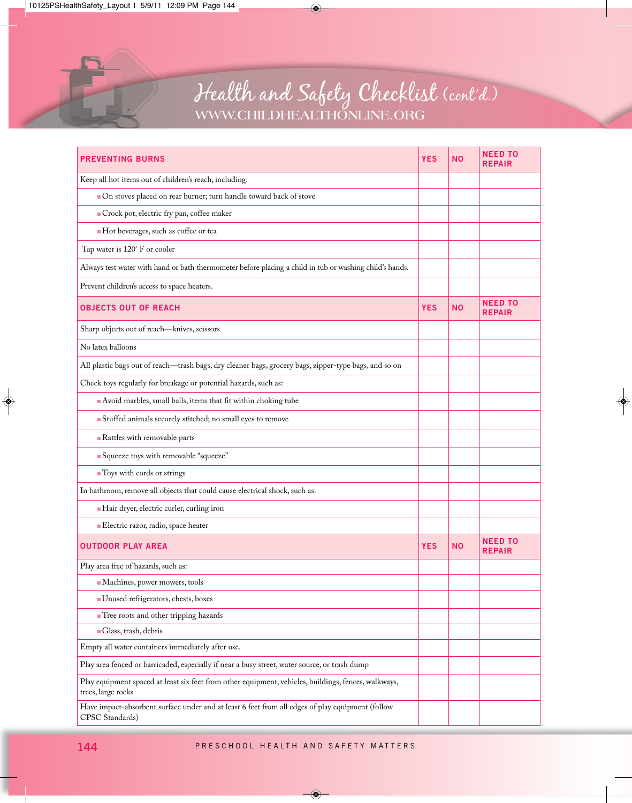

## Health and Safety Checklist (cont'd.) **WWW.CHILDHEALTHONLINE.ORG**

| <b>PREVENTING BURNS</b>                                                                                                    | YES        | <b>NO</b> | <b>NEED TO</b><br><b>REPAIR</b> |
|----------------------------------------------------------------------------------------------------------------------------|------------|-----------|---------------------------------|
| Keep all hot items out of children's reach, including:                                                                     |            |           |                                 |
| ■ On stoves placed on rear burner; turn handle toward back of stove                                                        |            |           |                                 |
| Crock pot, electric fry pan, coffee maker                                                                                  |            |           |                                 |
| Hot beverages, such as coffee or tea                                                                                       |            |           |                                 |
| Tap water is 120° F or cooler                                                                                              |            |           |                                 |
| Always test water with hand or bath thermometer before placing a child in tub or washing child's hands.                    |            |           |                                 |
| Prevent children's access to space heaters.                                                                                |            |           |                                 |
| <b>OBJECTS OUT OF REACH</b>                                                                                                | <b>YES</b> | <b>NO</b> | <b>NEED TO</b><br><b>REPAIR</b> |
| Sharp objects out of reach-knives, scissors                                                                                |            |           |                                 |
| No latex balloons                                                                                                          |            |           |                                 |
| All plastic bags out of reach—trash bags, dry cleaner bags, grocery bags, zipper-type bags, and so on                      |            |           |                                 |
| Check toys regularly for breakage or potential hazards, such as:                                                           |            |           |                                 |
| Avoid marbles, small balls, items that fit within choking tube                                                             |            |           |                                 |
| Stuffed animals securely stitched; no small eyes to remove                                                                 |            |           |                                 |
| Rattles with removable parts                                                                                               |            |           |                                 |
| Squeeze toys with removable "squeeze"                                                                                      |            |           |                                 |
| ■ Toys with cords or strings                                                                                               |            |           |                                 |
| In bathroom, remove all objects that could cause electrical shock, such as:                                                |            |           |                                 |
| Hair dryer, electric curler, curling iron                                                                                  |            |           |                                 |
| Electric razor, radio, space heater                                                                                        |            |           |                                 |
| <b>OUTDOOR PLAY AREA</b>                                                                                                   | <b>YES</b> | <b>NO</b> | <b>NEED TO</b><br><b>REPAIR</b> |
| Play area free of hazards, such as:                                                                                        |            |           |                                 |
| Machines, power mowers, tools                                                                                              |            |           |                                 |
| Unused refrigerators, chests, boxes                                                                                        |            |           |                                 |
| Tree roots and other tripping hazards                                                                                      |            |           |                                 |
| Glass, trash, debris                                                                                                       |            |           |                                 |
| Empty all water containers immediately after use.                                                                          |            |           |                                 |
| Play area fenced or barricaded, especially if near a busy street, water source, or trash dump                              |            |           |                                 |
| Play equipment spaced at least six feet from other equipment, vehicles, buildings, fences, walkways,<br>trees, large rocks |            |           |                                 |
| Have impact-absorbent surface under and at least 6 feet from all edges of play equipment (follow<br>CPSC Standards)        |            |           |                                 |